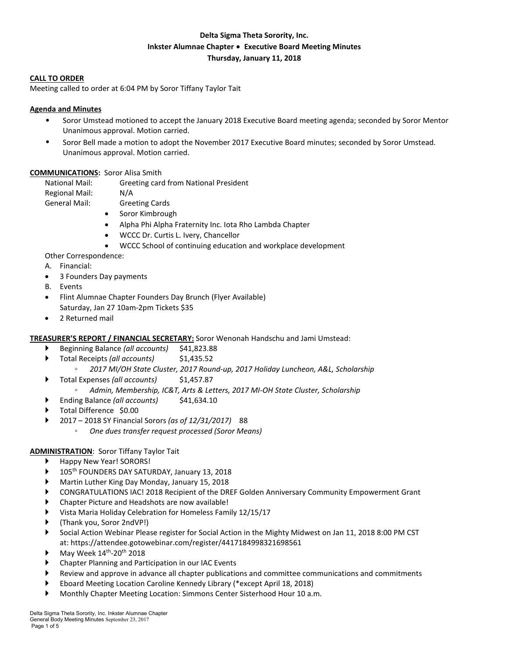# **Delta Sigma Theta Sorority, Inc. Inkster Alumnae Chapter** ∙ **Executive Board Meeting Minutes Thursday, January 11, 2018**

#### **CALL TO ORDER**

Meeting called to order at 6:04 PM by Soror Tiffany Taylor Tait

### **Agenda and Minutes**

- Soror Umstead motioned to accept the January 2018 Executive Board meeting agenda; seconded by Soror Mentor Unanimous approval. Motion carried.
- Soror Bell made a motion to adopt the November 2017 Executive Board minutes; seconded by Soror Umstead. Unanimous approval. Motion carried.

#### **COMMUNICATIONS:** Soror Alisa Smith

National Mail: Greeting card from National President Regional Mail: N/A

- General Mail: Greeting Cards
	- Soror Kimbrough
	- Alpha Phi Alpha Fraternity Inc. Iota Rho Lambda Chapter
	- WCCC Dr. Curtis L. Ivery, Chancellor
	- WCCC School of continuing education and workplace development

Other Correspondence:

- A. Financial:
- 3 Founders Day payments
- B. Events
- Flint Alumnae Chapter Founders Day Brunch (Flyer Available) Saturday, Jan 27 10am-2pm Tickets \$35
- 2 Returned mail

### **TREASURER'S REPORT / FINANCIAL SECRETARY:** Soror Wenonah Handschu and Jami Umstead:

- Beginning Balance *(all accounts)* \$41,823.88
- Total Receipts *(all accounts)* \$1,435.52
	- *2017 MI/OH State Cluster, 2017 Round-up, 2017 Holiday Luncheon, A&L, Scholarship*
- Total Expenses *(all accounts)* \$1,457.87
	- *Admin, Membership, IC&T, Arts & Letters, 2017 MI-OH State Cluster, Scholarship*
- Ending Balance *(all accounts)* \$41,634.10
- Total Difference \$0.00
- 2017 2018 SY Financial Sorors *(as of 12/31/2017)* 88
	- *One dues transfer request processed (Soror Means)*

### **ADMINISTRATION**: Soror Tiffany Taylor Tait

- Happy New Year! SORORS!
- 105th FOUNDERS DAY SATURDAY, January 13, 2018
- Martin Luther King Day Monday, January 15, 2018
- CONGRATULATIONS IAC! 2018 Recipient of the DREF Golden Anniversary Community Empowerment Grant
- Chapter Picture and Headshots are now available!
- Vista Maria Holiday Celebration for Homeless Family 12/15/17
- (Thank you, Soror 2ndVP!)
- Social Action Webinar Please register for Social Action in the Mighty Midwest on Jan 11, 2018 8:00 PM CST at: https://attendee.gotowebinar.com/register/4417184998321698561
- May Week 14th-20th 2018
- Chapter Planning and Participation in our IAC Events
- Review and approve in advance all chapter publications and committee communications and commitments
- Eboard Meeting Location Caroline Kennedy Library (\*except April 18, 2018)
- Monthly Chapter Meeting Location: Simmons Center Sisterhood Hour 10 a.m.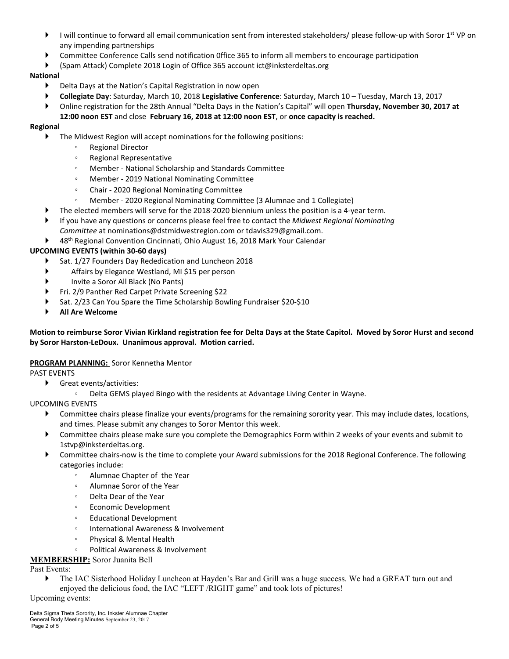- I will continue to forward all email communication sent from interested stakeholders/ please follow-up with Soror  $1^{st}$  VP on any impending partnerships
- Committee Conference Calls send notification 0ffice 365 to inform all members to encourage participation
- (Spam Attack) Complete 2018 Login of Office 365 account ict@inksterdeltas.org

# **National**

- Delta Days at the Nation's Capital Registration in now open
- **Collegiate Day**: Saturday, March 10, 2018 **Legislative Conference**: Saturday, March 10 Tuesday, March 13, 2017
- Online registration for the 28th Annual "Delta Days in the Nation's Capital" will open **Thursday, November 30, 2017 at 12:00 noon EST** and close **February 16, 2018 at 12:00 noon EST**, or **once capacity is reached.**

# **Regional**

- The Midwest Region will accept nominations for the following positions:
	- Regional Director
	- Regional Representative
	- Member National Scholarship and Standards Committee
	- Member 2019 National Nominating Committee
	- Chair 2020 Regional Nominating Committee
	- Member 2020 Regional Nominating Committee (3 Alumnae and 1 Collegiate)
- The elected members will serve for the 2018-2020 biennium unless the position is a 4-year term.
- If you have any questions or concerns please feel free to contact the *Midwest Regional Nominating Committee* at nominations@dstmidwestregion.com or tdavis329@gmail.com.
- ▶ 48<sup>th</sup> Regional Convention Cincinnati, Ohio August 16, 2018 Mark Your Calendar

# **UPCOMING EVENTS (within 30-60 days)**

- Sat. 1/27 Founders Day Rededication and Luncheon 2018
- Affairs by Elegance Westland, MI \$15 per person
- Invite a Soror All Black (No Pants)
- Fri. 2/9 Panther Red Carpet Private Screening \$22
- Sat. 2/23 Can You Spare the Time Scholarship Bowling Fundraiser \$20-\$10
- **All Are Welcome**

## Motion to reimburse Soror Vivian Kirkland registration fee for Delta Days at the State Capitol. Moved by Soror Hurst and second **by Soror Harston-LeDoux. Unanimous approval. Motion carried.**

### **PROGRAM PLANNING:** Soror Kennetha Mentor

PAST EVENTS

- Great events/activities:
	- Delta GEMS played Bingo with the residents at Advantage Living Center in Wayne.

### UPCOMING EVENTS

- Committee chairs please finalize your events/programs for the remaining sorority year. This may include dates, locations, and times. Please submit any changes to Soror Mentor this week.
- Committee chairs please make sure you complete the Demographics Form within 2 weeks of your events and submit to 1stvp@inksterdeltas.org.
- Committee chairs-now is the time to complete your Award submissions for the 2018 Regional Conference. The following categories include:
	- Alumnae Chapter of the Year
	- Alumnae Soror of the Year
	- Delta Dear of the Year
	- Economic Development
	- Educational Development
	- International Awareness & Involvement
	- Physical & Mental Health
		- Political Awareness & Involvement
- **MEMBERSHIP:** Soror Juanita Bell

Past Events:

 The IAC Sisterhood Holiday Luncheon at Hayden's Bar and Grill was a huge success. We had a GREAT turn out and enjoyed the delicious food, the IAC "LEFT /RIGHT game" and took lots of pictures!

Upcoming events: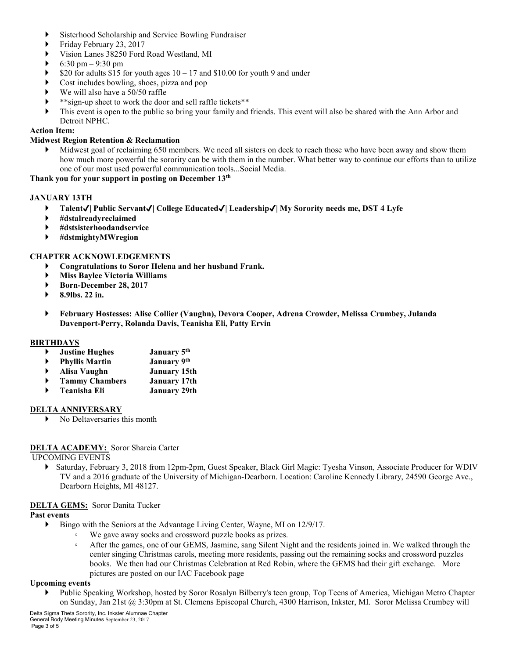- Sisterhood Scholarship and Service Bowling Fundraiser
- Friday February 23, 2017
- Vision Lanes 38250 Ford Road Westland, MI
- 6:30 pm 9:30 pm
- \$20 for adults \$15 for youth ages  $10 17$  and \$10.00 for youth 9 and under
- Cost includes bowling, shoes, pizza and pop
- We will also have a 50/50 raffle
- \*\*sign-up sheet to work the door and sell raffle tickets\*\*
- This event is open to the public so bring your family and friends. This event will also be shared with the Ann Arbor and Detroit NPHC.

## **Action Item:**

### **Midwest Region Retention & Reclamation**

 Midwest goal of reclaiming 650 members. We need all sisters on deck to reach those who have been away and show them how much more powerful the sorority can be with them in the number. What better way to continue our efforts than to utilize one of our most used powerful communication tools...Social Media.

**Thank you for your support in posting on December 13th**

### **JANUARY 13TH**

- **Talent**✔**| Public Servant**✔**| College Educated**✔**| Leadership**✔**| My Sorority needs me, DST 4 Lyfe**
- **#dstalreadyreclaimed**
- **#dstsisterhoodandservice**
- **#dstmightyMWregion**

### **CHAPTER ACKNOWLEDGEMENTS**

- **Congratulations to Soror Helena and her husband Frank.**
- **Miss Baylee Victoria Williams**
- **Born-December 28, 2017**
- **8.9lbs. 22 in.**
- **February Hostesses: Alise Collier (Vaughn), Devora Cooper, Adrena Crowder, Melissa Crumbey, Julanda Davenport-Perry, Rolanda Davis, Teanisha Eli, Patty Ervin**

#### **BIRTHDAYS**

- **Justine Hughes January 5th**
- **Phyllis Martin January 9th**
- **Alisa Vaughn January 15th**
- **Tammy Chambers January 17th**
- **Teanisha Eli January 29th**

### **DELTA ANNIVERSARY**

No Deltaversaries this month

### **DELTA ACADEMY:** Soror Shareia Carter

UPCOMING EVENTS

 Saturday, February 3, 2018 from 12pm-2pm, Guest Speaker, Black Girl Magic: Tyesha Vinson, Associate Producer for WDIV TV and a 2016 graduate of the University of Michigan-Dearborn. Location: Caroline Kennedy Library, 24590 George Ave., Dearborn Heights, MI 48127.

### **DELTA GEMS:** Soror Danita Tucker

#### **Past events**

- Bingo with the Seniors at the Advantage Living Center, Wayne, MI on 12/9/17.
	- We gave away socks and crossword puzzle books as prizes.
	- After the games, one of our GEMS, Jasmine, sang Silent Night and the residents joined in. We walked through the center singing Christmas carols, meeting more residents, passing out the remaining socks and crossword puzzles books. We then had our Christmas Celebration at Red Robin, where the GEMS had their gift exchange. More pictures are posted on our IAC Facebook page

#### **Upcoming events**

 Public Speaking Workshop, hosted by Soror Rosalyn Bilberry's teen group, Top Teens of America, Michigan Metro Chapter on Sunday, Jan 21st @ 3:30pm at St. Clemens Episcopal Church, 4300 Harrison, Inkster, MI. Soror Melissa Crumbey will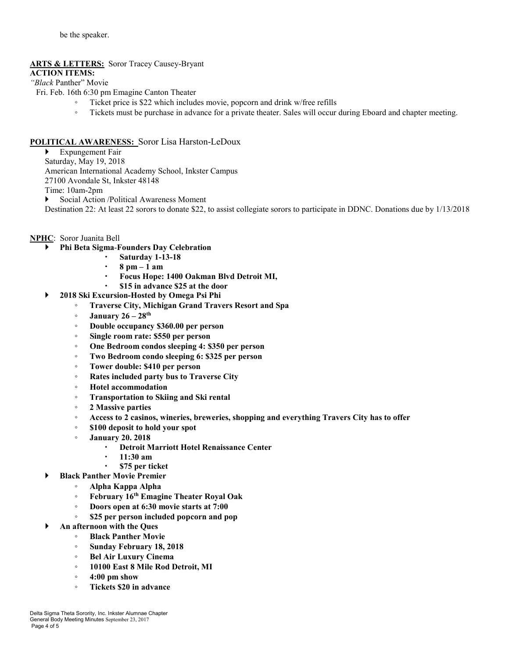# **ARTS & LETTERS:** Soror Tracey Causey-Bryant

## **ACTION ITEMS:**

*"Black* Panther" Movie

Fri. Feb. 16th 6:30 pm Emagine Canton Theater

- Ticket price is \$22 which includes movie, popcorn and drink w/free refills
- Tickets must be purchase in advance for a private theater. Sales will occur during Eboard and chapter meeting.

# **POLITICAL AWARENESS:** Soror Lisa Harston-LeDoux

 Expungement Fair Saturday, May 19, 2018 American International Academy School, Inkster Campus 27100 Avondale St, Inkster 48148 Time: 10am-2pm Social Action /Political Awareness Moment

Destination 22: At least 22 sorors to donate \$22, to assist collegiate sorors to participate in DDNC. Donations due by 1/13/2018

## **NPHC**: Soror Juanita Bell

- **Phi Beta Sigma**-**Founders Day Celebration**
	- **Saturday 1-13-18**
		- **8 pm – 1 am**
		- **Focus Hope: 1400 Oakman Blvd Detroit MI,**
	- **\$15 in advance \$25 at the door**
- **2018 Ski Excursion-Hosted by Omega Psi Phi**
	- **Traverse City, Michigan Grand Travers Resort and Spa**
	- **January 26 – 28th**
	- **Double occupancy \$360.00 per person**
	- **Single room rate: \$550 per person**
	- **One Bedroom condos sleeping 4: \$350 per person**
	- **Two Bedroom condo sleeping 6: \$325 per person**
	- **Tower double: \$410 per person**
	- **Rates included party bus to Traverse City**
	- **Hotel accommodation**
	- **Transportation to Skiing and Ski rental**
	- **2 Massive parties**
	- **Access to 2 casinos, wineries, breweries, shopping and everything Travers City has to offer**
	- **\$100 deposit to hold your spot**
	- **January 20. 2018**
		- **Detroit Marriott Hotel Renaissance Center**
		- **11:30 am**
		- **\$75 per ticket**
- **Black Panther Movie Premier**
	- **Alpha Kappa Alpha**
	- **February 16th Emagine Theater Royal Oak**
	- **Doors open at 6:30 movie starts at 7:00**
	- **\$25 per person included popcorn and pop**
	- **An afternoon with the Ques**
		- **Black Panther Movie**
		- **Sunday February 18, 2018**
		- **Bel Air Luxury Cinema**
		- **10100 East 8 Mile Rod Detroit, MI**
		- **4:00 pm show**
		- **Tickets \$20 in advance**